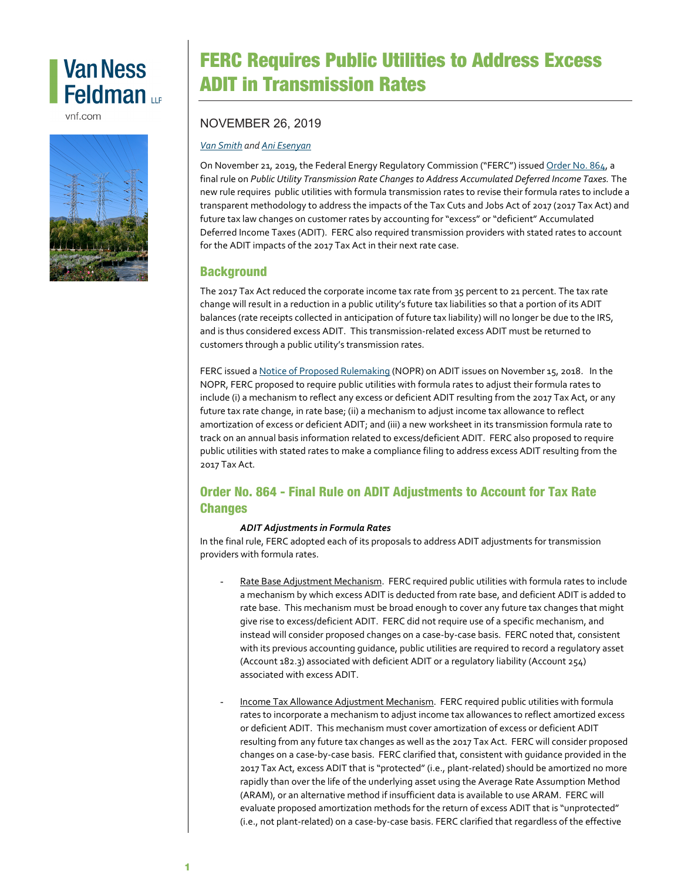# **Van Ness** Feldman up

vnf.com



## FERC Requires Public Utilities to Address Excess ADIT in Transmission Rates

### NOVEMBER 26, 2019

#### *Van [Smith](https://www.vnf.com/vsmith) and [Ani Esenyan](https://www.vnf.com/aesenyan)*

On November 21, 2019, the Federal Energy Regulatory Commission ("FERC") issue[d Order No. 864,](https://www.ferc.gov/whats-new/comm-meet/2019/112119/E-1.pdf) a final rule on *Public Utility Transmission Rate Changes to Address Accumulated Deferred Income Taxes.* The new rule requires public utilities with formula transmission rates to revise their formula rates to include a transparent methodology to address the impacts of the Tax Cuts and Jobs Act of 2017 (2017 Tax Act) and future tax law changes on customer rates by accounting for "excess" or "deficient" Accumulated Deferred Income Taxes (ADIT). FERC also required transmission providers with stated rates to account for the ADIT impacts of the 2017 Tax Act in their next rate case.

### **Background**

The 2017 Tax Act reduced the corporate income tax rate from 35 percent to 21 percent. The tax rate change will result in a reduction in a public utility's future tax liabilities so that a portion of its ADIT balances (rate receipts collected in anticipation of future tax liability) will no longer be due to the IRS, and is thus considered excess ADIT. This transmission-related excess ADIT must be returned to customers through a public utility's transmission rates.

FERC issued [a Notice of Proposed Rulemaking](https://www.vnf.com/FERC-Proposes-Rule-Requiring-Transmission-Providers-to-Revise-Rates-Following-Tax-Rate-Change) (NOPR) on ADIT issues on November 15, 2018. In the NOPR, FERC proposed to require public utilities with formula rates to adjust their formula rates to include (i) a mechanism to reflect any excess or deficient ADIT resulting from the 2017 Tax Act, or any future tax rate change, in rate base; (ii) a mechanism to adjust income tax allowance to reflect amortization of excess or deficient ADIT; and (iii) a new worksheet in its transmission formula rate to track on an annual basis information related to excess/deficient ADIT. FERC also proposed to require public utilities with stated rates to make a compliance filing to address excess ADIT resulting from the 2017 Tax Act.

## Order No. 864 - Final Rule on ADIT Adjustments to Account for Tax Rate Changes

#### *ADIT Adjustments in Formula Rates*

In the final rule, FERC adopted each of its proposals to address ADIT adjustments for transmission providers with formula rates.

- Rate Base Adjustment Mechanism. FERC required public utilities with formula rates to include a mechanism by which excess ADIT is deducted from rate base, and deficient ADIT is added to rate base. This mechanism must be broad enough to cover any future tax changes that might give rise to excess/deficient ADIT. FERC did not require use of a specific mechanism, and instead will consider proposed changes on a case-by-case basis. FERC noted that, consistent with its previous accounting guidance, public utilities are required to record a regulatory asset (Account 182.3) associated with deficient ADIT or a regulatory liability (Account 254) associated with excess ADIT.
- Income Tax Allowance Adjustment Mechanism. FERC required public utilities with formula rates to incorporate a mechanism to adjust income tax allowances to reflect amortized excess or deficient ADIT. This mechanism must cover amortization of excess or deficient ADIT resulting from any future tax changes as well as the 2017 Tax Act. FERC will consider proposed changes on a case-by-case basis. FERC clarified that, consistent with guidance provided in the 2017 Tax Act, excess ADIT that is "protected" (i.e., plant-related) should be amortized no more rapidly than over the life of the underlying asset using the Average Rate Assumption Method (ARAM), or an alternative method if insufficient data is available to use ARAM. FERC will evaluate proposed amortization methods for the return of excess ADIT that is "unprotected" (i.e., not plant-related) on a case-by-case basis. FERC clarified that regardless of the effective